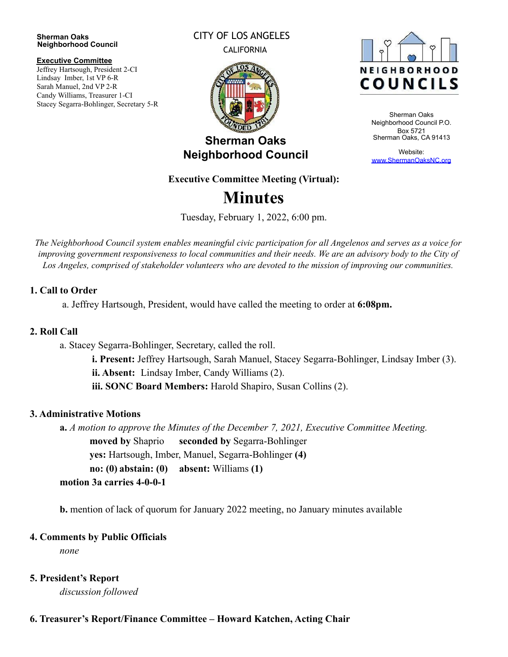#### **Sherman Oaks Neighborhood Council**

#### **Executive Committee**

Jeffrey Hartsough, President 2-CI Lindsay Imber, 1st VP 6-R Sarah Manuel, 2nd VP 2-R Candy Williams, Treasurer 1-CI Stacey Segarra-Bohlinger, Secretary 5-R

#### CITY OF LOS ANGELES CALIFORNIA



## **Sherman Oaks Neighborhood Council**

# **NEIGHBORHOOD COUNCILS**

Sherman Oaks Neighborhood Council P.O. Box 5721 Sherman Oaks, CA 91413

Website: [www.ShermanOaksNC.org](http://www.shermanoaksnc.org/)

#### **Executive Committee Meeting (Virtual):**

# **Minutes**

Tuesday, February 1, 2022, 6:00 pm.

The Neighborhood Council system enables meaningful civic participation for all Angelenos and serves as a voice for improving government responsiveness to local communities and their needs. We are an advisory body to the City of *Los Angeles, comprised of stakeholder volunteers who are devoted to the mission of improving our communities.*

#### **1. Call to Order**

a. Jeffrey Hartsough, President, would have called the meeting to order at **6:08pm.**

#### **2. Roll Call**

a. Stacey Segarra-Bohlinger, Secretary, called the roll.

**i. Present:** Jeffrey Hartsough, Sarah Manuel, Stacey Segarra-Bohlinger, Lindsay Imber (3). **ii. Absent:** Lindsay Imber, Candy Williams (2). **iii. SONC Board Members:** Harold Shapiro, Susan Collins (2).

#### **3. Administrative Motions**

**a.** *A motion to approve the Minutes of the December 7, 2021, Executive Committee Meeting.* **moved by** Shaprio **seconded by** Segarra-Bohlinger **yes:** Hartsough, Imber, Manuel, Segarra-Bohlinger **(4) no: (0) abstain: (0) absent:** Williams **(1) motion 3a carries 4-0-0-1**

**b.** mention of lack of quorum for January 2022 meeting, no January minutes available

#### **4. Comments by Public Officials**

*none*

#### **5. President's Report**

*discussion followed*

#### **6. Treasurer's Report/Finance Committee – Howard Katchen, Acting Chair**